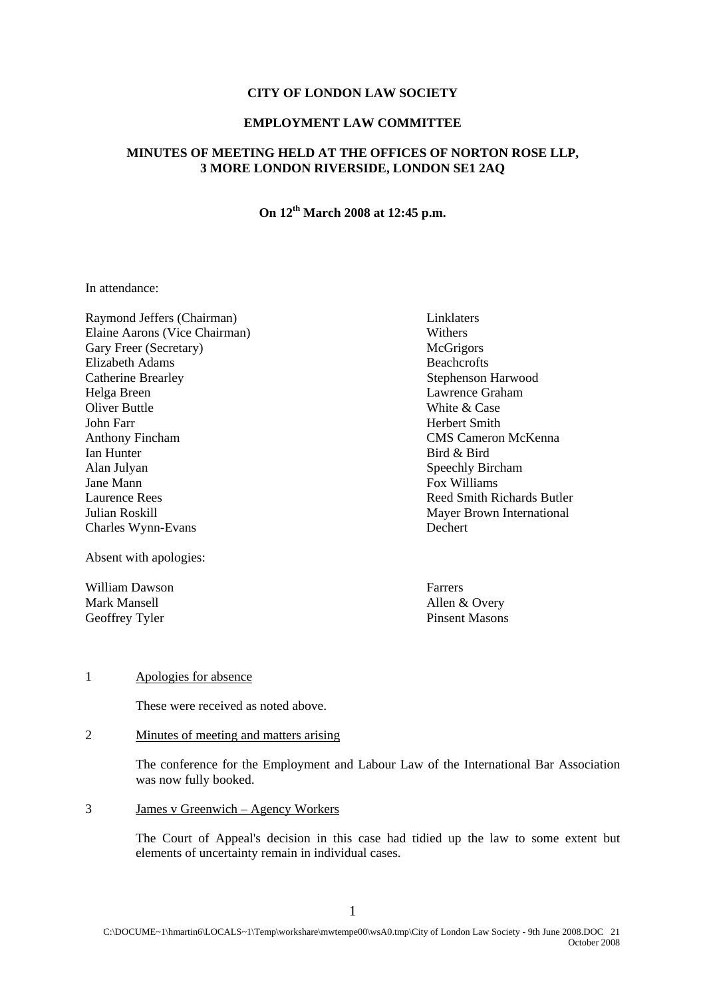#### **CITY OF LONDON LAW SOCIETY**

### **EMPLOYMENT LAW COMMITTEE**

## **MINUTES OF MEETING HELD AT THE OFFICES OF NORTON ROSE LLP, 3 MORE LONDON RIVERSIDE, LONDON SE1 2AQ**

# **On 12th March 2008 at 12:45 p.m.**

In attendance:

Raymond Jeffers (Chairman) Linklaters Elaine Aarons (Vice Chairman) Withers Gary Freer (Secretary) McGrigors Elizabeth Adams Beachcrofts Catherine Brearley Stephenson Harwood Helga Breen Lawrence Graham Oliver Buttle White & Case John Farr **Herbert Smith** Anthony Fincham CMS Cameron McKenna Ian Hunter Bird & Bird Alan Julyan Speechly Bircham Jane Mann **Fox Williams** Laurence Rees **Reed Smith Richards Butler** Reed Smith Richards Butler **Julian Roskill** Mayer Brown International Charles Wynn-Evans Dechert

Absent with apologies:

William Dawson **Farrers** Mark Mansell<br>
Geoffrey Tyler<br>
Geoffrey Tyler<br>
Pinsent Masons Geoffrey Tyler

#### 1 Apologies for absence

These were received as noted above.

2 Minutes of meeting and matters arising

The conference for the Employment and Labour Law of the International Bar Association was now fully booked.

3 James v Greenwich – Agency Workers

The Court of Appeal's decision in this case had tidied up the law to some extent but elements of uncertainty remain in individual cases.